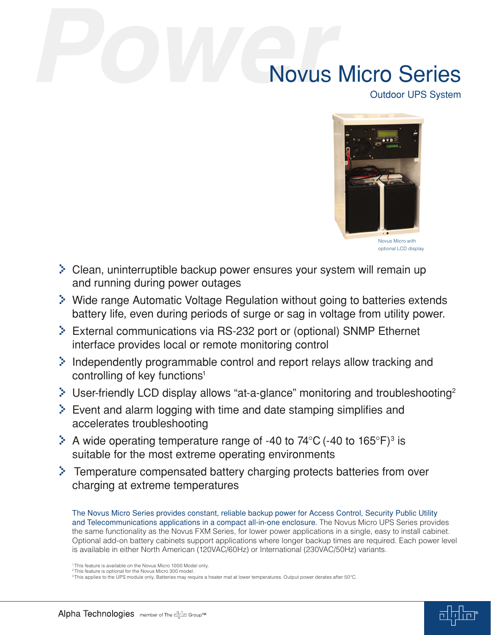# Novus Micro Series

Outdoor UPS System



> Clean, uninterruptible backup power ensures your system will remain up and running during power outages

- > Wide range Automatic Voltage Regulation without going to batteries extends battery life, even during periods of surge or sag in voltage from utility power.
- > External communications via RS-232 port or (optional) SNMP Ethernet interface provides local or remote monitoring control
- > Independently programmable control and report relays allow tracking and controlling of key functions<sup>1</sup>
- $\geq$  User-friendly LCD display allows "at-a-glance" monitoring and troubleshooting<sup>2</sup>
- $\geq$  Event and alarm logging with time and date stamping simplifies and accelerates troubleshooting
- $\geq$  A wide operating temperature range of -40 to 74°C (-40 to 165°F)<sup>3</sup> is suitable for the most extreme operating environments
- > Temperature compensated battery charging protects batteries from over charging at extreme temperatures

The Novus Micro Series provides constant, reliable backup power for Access Control, Security Public Utility and Telecommunications applications in a compact all-in-one enclosure. The Novus Micro UPS Series provides the same functionality as the Novus FXM Series, for lower power applications in a single, easy to install cabinet. Optional add-on battery cabinets support applications where longer backup times are required. Each power level is available in either North American (120VAC/60Hz) or International (230VAC/50Hz) variants.



<sup>&</sup>lt;sup>1</sup> This feature is available on the Novus Micro 1000 Model only. <sup>2</sup> This feature is optional for the Novus Micro 300 model.

<sup>3</sup> This applies to the UPS module only. Batteries may require a heater mat at lower temperatures. Output power derates after 50°C.